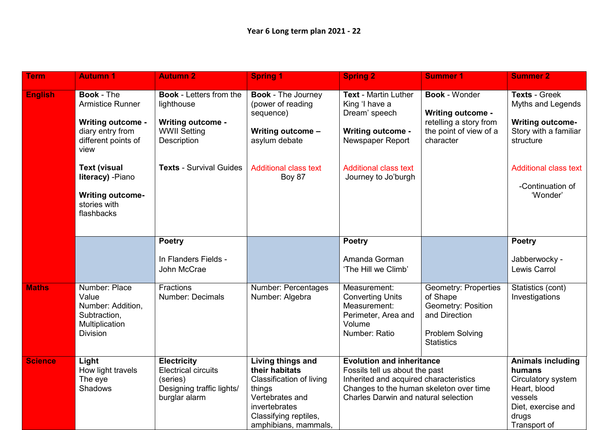| <b>Term</b>    | <b>Autumn 1</b>                                                                                                                                                                                                                  | <b>Autumn 2</b>                                                                                                                                  | <b>Spring 1</b>                                                                                                                                                       | <b>Spring 2</b>                                                                                                                                                                                 | <b>Summer 1</b>                                                                                                                      | <b>Summer 2</b>                                                                                                                                                            |
|----------------|----------------------------------------------------------------------------------------------------------------------------------------------------------------------------------------------------------------------------------|--------------------------------------------------------------------------------------------------------------------------------------------------|-----------------------------------------------------------------------------------------------------------------------------------------------------------------------|-------------------------------------------------------------------------------------------------------------------------------------------------------------------------------------------------|--------------------------------------------------------------------------------------------------------------------------------------|----------------------------------------------------------------------------------------------------------------------------------------------------------------------------|
| <b>English</b> | <b>Book - The</b><br><b>Armistice Runner</b><br><b>Writing outcome -</b><br>diary entry from<br>different points of<br>view<br><b>Text (visual</b><br>literacy) - Piano<br><b>Writing outcome-</b><br>stories with<br>flashbacks | <b>Book - Letters from the</b><br>lighthouse<br><b>Writing outcome -</b><br><b>WWII Setting</b><br>Description<br><b>Texts - Survival Guides</b> | <b>Book - The Journey</b><br>(power of reading<br>sequence)<br>Writing outcome -<br>asylum debate<br><b>Additional class text</b><br>Boy 87                           | Text - Martin Luther<br>King 'I have a<br>Dream' speech<br><b>Writing outcome -</b><br>Newspaper Report<br><b>Additional class text</b><br>Journey to Jo'burgh                                  | <b>Book - Wonder</b><br><b>Writing outcome -</b><br>retelling a story from<br>the point of view of a<br>character                    | <b>Texts - Greek</b><br>Myths and Legends<br><b>Writing outcome-</b><br>Story with a familiar<br>structure<br><b>Additional class text</b><br>-Continuation of<br>'Wonder' |
|                |                                                                                                                                                                                                                                  | <b>Poetry</b><br>In Flanders Fields -<br>John McCrae                                                                                             |                                                                                                                                                                       | <b>Poetry</b><br>Amanda Gorman<br>'The Hill we Climb'                                                                                                                                           |                                                                                                                                      | <b>Poetry</b><br>Jabberwocky -<br>Lewis Carrol                                                                                                                             |
| <b>Maths</b>   | Number: Place<br>Value<br>Number: Addition,<br>Subtraction,<br>Multiplication<br><b>Division</b>                                                                                                                                 | Fractions<br><b>Number: Decimals</b>                                                                                                             | Number: Percentages<br>Number: Algebra                                                                                                                                | Measurement:<br><b>Converting Units</b><br>Measurement:<br>Perimeter, Area and<br>Volume<br>Number: Ratio                                                                                       | <b>Geometry: Properties</b><br>of Shape<br><b>Geometry: Position</b><br>and Direction<br><b>Problem Solving</b><br><b>Statistics</b> | Statistics (cont)<br>Investigations                                                                                                                                        |
| <b>Science</b> | Light<br>How light travels<br>The eye<br>Shadows                                                                                                                                                                                 | <b>Electricity</b><br><b>Electrical circuits</b><br>(series)<br>Designing traffic lights/<br>burglar alarm                                       | Living things and<br>their habitats<br><b>Classification of living</b><br>things<br>Vertebrates and<br>invertebrates<br>Classifying reptiles,<br>amphibians, mammals, | <b>Evolution and inheritance</b><br>Fossils tell us about the past<br>Inherited and acquired characteristics<br>Changes to the human skeleton over time<br>Charles Darwin and natural selection |                                                                                                                                      | <b>Animals including</b><br>humans<br>Circulatory system<br>Heart, blood<br>vessels<br>Diet, exercise and<br>drugs<br>Transport of                                         |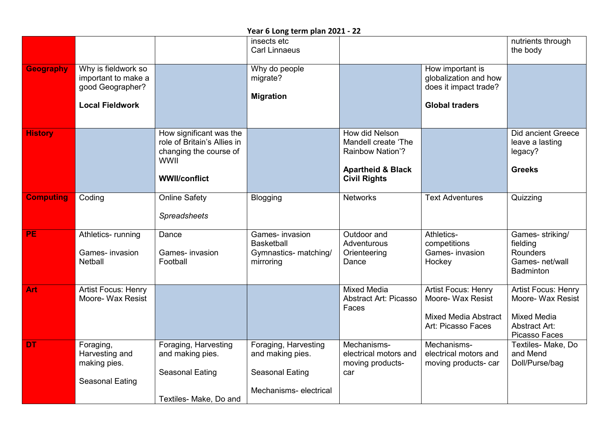|                  |                                                                                          |                                                                                                                         | insects etc<br><b>Carl Linnaeus</b>                                                         |                                                                                                                         |                                                                                                      | nutrients through<br>the body                                                                                  |
|------------------|------------------------------------------------------------------------------------------|-------------------------------------------------------------------------------------------------------------------------|---------------------------------------------------------------------------------------------|-------------------------------------------------------------------------------------------------------------------------|------------------------------------------------------------------------------------------------------|----------------------------------------------------------------------------------------------------------------|
| <b>Geography</b> | Why is fieldwork so<br>important to make a<br>good Geographer?<br><b>Local Fieldwork</b> |                                                                                                                         | Why do people<br>migrate?<br><b>Migration</b>                                               |                                                                                                                         | How important is<br>globalization and how<br>does it impact trade?<br><b>Global traders</b>          |                                                                                                                |
| <b>History</b>   |                                                                                          | How significant was the<br>role of Britain's Allies in<br>changing the course of<br><b>WWII</b><br><b>WWII/conflict</b> |                                                                                             | How did Nelson<br>Mandell create 'The<br><b>Rainbow Nation'?</b><br><b>Apartheid &amp; Black</b><br><b>Civil Rights</b> |                                                                                                      | Did ancient Greece<br>leave a lasting<br>legacy?<br><b>Greeks</b>                                              |
| <b>Computing</b> | Coding                                                                                   | <b>Online Safety</b><br><b>Spreadsheets</b>                                                                             | <b>Blogging</b>                                                                             | <b>Networks</b>                                                                                                         | <b>Text Adventures</b>                                                                               | Quizzing                                                                                                       |
| <b>PE</b>        | Athletics-running<br>Games- invasion<br>Netball                                          | Dance<br>Games- invasion<br>Football                                                                                    | Games- invasion<br><b>Basketball</b><br>Gymnastics- matching/<br>mirroring                  | Outdoor and<br>Adventurous<br>Orienteering<br>Dance                                                                     | Athletics-<br>competitions<br>Games- invasion<br>Hockey                                              | Games- striking/<br>fielding<br><b>Rounders</b><br>Games- net/wall<br><b>Badminton</b>                         |
| <b>Art</b>       | <b>Artist Focus: Henry</b><br>Moore- Wax Resist                                          |                                                                                                                         |                                                                                             | <b>Mixed Media</b><br>Abstract Art: Picasso<br>Faces                                                                    | <b>Artist Focus: Henry</b><br>Moore- Wax Resist<br><b>Mixed Media Abstract</b><br>Art: Picasso Faces | <b>Artist Focus: Henry</b><br>Moore- Wax Resist<br><b>Mixed Media</b><br><b>Abstract Art:</b><br>Picasso Faces |
| <b>DT</b>        | Foraging,<br>Harvesting and<br>making pies.<br>Seasonal Eating                           | Foraging, Harvesting<br>and making pies.<br><b>Seasonal Eating</b><br>Textiles- Make, Do and                            | Foraging, Harvesting<br>and making pies.<br><b>Seasonal Eating</b><br>Mechanisms-electrical | Mechanisms-<br>electrical motors and<br>moving products-<br>car                                                         | Mechanisms-<br>electrical motors and<br>moving products- car                                         | Textiles- Make, Do<br>and Mend<br>Doll/Purse/bag                                                               |